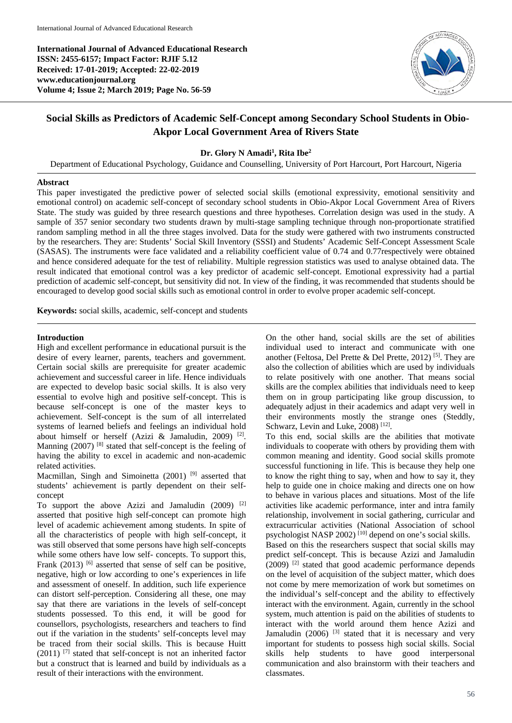**International Journal of Advanced Educational Research ISSN: 2455-6157; Impact Factor: RJIF 5.12 Received: 17-01-2019; Accepted: 22-02-2019 www.educationjournal.org Volume 4; Issue 2; March 2019; Page No. 56-59**



## **Social Skills as Predictors of Academic Self-Concept among Secondary School Students in Obio-Akpor Local Government Area of Rivers State**

## **Dr. Glory N Amadi1 , Rita Ibe2**

Department of Educational Psychology, Guidance and Counselling, University of Port Harcourt, Port Harcourt, Nigeria

#### **Abstract**

This paper investigated the predictive power of selected social skills (emotional expressivity, emotional sensitivity and emotional control) on academic self-concept of secondary school students in Obio-Akpor Local Government Area of Rivers State. The study was guided by three research questions and three hypotheses. Correlation design was used in the study. A sample of 357 senior secondary two students drawn by multi-stage sampling technique through non-proportionate stratified random sampling method in all the three stages involved. Data for the study were gathered with two instruments constructed by the researchers. They are: Students' Social Skill Inventory (SSSI) and Students' Academic Self-Concept Assessment Scale (SASAS). The instruments were face validated and a reliability coefficient value of 0.74 and 0.77respectively were obtained and hence considered adequate for the test of reliability. Multiple regression statistics was used to analyse obtained data. The result indicated that emotional control was a key predictor of academic self-concept. Emotional expressivity had a partial prediction of academic self-concept, but sensitivity did not. In view of the finding, it was recommended that students should be encouraged to develop good social skills such as emotional control in order to evolve proper academic self-concept.

**Keywords:** social skills, academic, self-concept and students

#### **Introduction**

High and excellent performance in educational pursuit is the desire of every learner, parents, teachers and government. Certain social skills are prerequisite for greater academic achievement and successful career in life. Hence individuals are expected to develop basic social skills. It is also very essential to evolve high and positive self-concept. This is because self-concept is one of the master keys to achievement. Self-concept is the sum of all interrelated systems of learned beliefs and feelings an individual hold about himself or herself (Azizi & Jamaludin, 2009)<sup>[2]</sup>. Manning (2007) <sup>[8]</sup> stated that self-concept is the feeling of having the ability to excel in academic and non-academic related activities.

Macmillan, Singh and Simoinetta (2001)<sup>[9]</sup> asserted that students' achievement is partly dependent on their selfconcept

To support the above Azizi and Jamaludin  $(2009)$ <sup>[2]</sup> asserted that positive high self-concept can promote high level of academic achievement among students. In spite of all the characteristics of people with high self-concept, it was still observed that some persons have high self-concepts while some others have low self- concepts. To support this, Frank  $(2013)$  [6] asserted that sense of self can be positive, negative, high or low according to one's experiences in life and assessment of oneself. In addition, such life experience can distort self-perception. Considering all these, one may say that there are variations in the levels of self-concept students possessed. To this end, it will be good for counsellors, psychologists, researchers and teachers to find out if the variation in the students' self-concepts level may be traced from their social skills. This is because Huitt  $(2011)$  [7] stated that self-concept is not an inherited factor but a construct that is learned and build by individuals as a result of their interactions with the environment.

On the other hand, social skills are the set of abilities individual used to interact and communicate with one another (Feltosa, Del Prette & Del Prette, 2012)<sup>[5]</sup>. They are also the collection of abilities which are used by individuals to relate positively with one another. That means social skills are the complex abilities that individuals need to keep them on in group participating like group discussion, to adequately adjust in their academics and adapt very well in their environments mostly the strange ones (Steddly, Schwarz, Levin and Luke, 2008)<sup>[12]</sup>.

To this end, social skills are the abilities that motivate individuals to cooperate with others by providing them with common meaning and identity. Good social skills promote successful functioning in life. This is because they help one to know the right thing to say, when and how to say it, they help to guide one in choice making and directs one on how to behave in various places and situations. Most of the life activities like academic performance, inter and intra family relationship, involvement in social gathering, curricular and extracurricular activities (National Association of school psychologist NASP 2002) [10] depend on one's social skills. Based on this the researchers suspect that social skills may predict self-concept. This is because Azizi and Jamaludin  $(2009)$ <sup>[2]</sup> stated that good academic performance depends on the level of acquisition of the subject matter, which does not come by mere memorization of work but sometimes on the individual's self-concept and the ability to effectively interact with the environment. Again, currently in the school system, much attention is paid on the abilities of students to interact with the world around them hence Azizi and Jamaludin  $(2006)$  <sup>[3]</sup> stated that it is necessary and very important for students to possess high social skills. Social skills help students to have good interpersonal communication and also brainstorm with their teachers and classmates.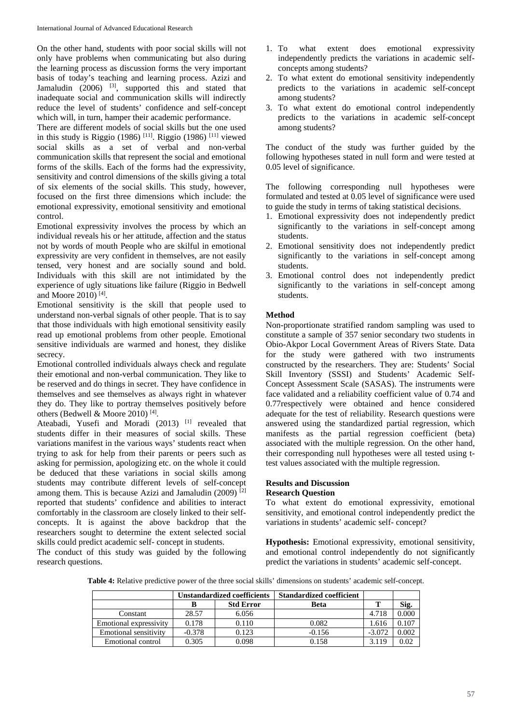On the other hand, students with poor social skills will not only have problems when communicating but also during the learning process as discussion forms the very important basis of today's teaching and learning process. Azizi and Jamaludin  $(2006)$  <sup>[3]</sup>, supported this and stated that inadequate social and communication skills will indirectly reduce the level of students' confidence and self-concept which will, in turn, hamper their academic performance.

There are different models of social skills but the one used in this study is Riggio (1986)<sup>[11]</sup>. Riggio (1986)<sup>[11]</sup> viewed social skills as a set of verbal and non-verbal communication skills that represent the social and emotional forms of the skills. Each of the forms had the expressivity, sensitivity and control dimensions of the skills giving a total of six elements of the social skills. This study, however, focused on the first three dimensions which include: the emotional expressivity, emotional sensitivity and emotional control.

Emotional expressivity involves the process by which an individual reveals his or her attitude, affection and the status not by words of mouth People who are skilful in emotional expressivity are very confident in themselves, are not easily tensed, very honest and are socially sound and bold. Individuals with this skill are not intimidated by the experience of ugly situations like failure (Riggio in Bedwell and Moore 2010) [4] .

Emotional sensitivity is the skill that people used to understand non-verbal signals of other people. That is to say that those individuals with high emotional sensitivity easily read up emotional problems from other people. Emotional sensitive individuals are warmed and honest, they dislike secrecy.

Emotional controlled individuals always check and regulate their emotional and non-verbal communication. They like to be reserved and do things in secret. They have confidence in themselves and see themselves as always right in whatever they do. They like to portray themselves positively before others (Bedwell & Moore 2010)<sup>[4]</sup>.

Ateabadi, Yusefi and Moradi  $(2013)$ <sup>[1]</sup> revealed that students differ in their measures of social skills. These variations manifest in the various ways' students react when trying to ask for help from their parents or peers such as asking for permission, apologizing etc. on the whole it could be deduced that these variations in social skills among students may contribute different levels of self-concept among them. This is because Azizi and Jamaludin  $(2009)$ <sup>[2]</sup> reported that students' confidence and abilities to interact comfortably in the classroom are closely linked to their selfconcepts. It is against the above backdrop that the researchers sought to determine the extent selected social skills could predict academic self- concept in students.

The conduct of this study was guided by the following research questions.

- 1. To what extent does emotional expressivity independently predicts the variations in academic selfconcepts among students?
- 2. To what extent do emotional sensitivity independently predicts to the variations in academic self-concept among students?
- 3. To what extent do emotional control independently predicts to the variations in academic self-concept among students?

The conduct of the study was further guided by the following hypotheses stated in null form and were tested at 0.05 level of significance.

The following corresponding null hypotheses were formulated and tested at  $0.05$  level of significance were used to guide the study in terms of taking statistical decisions.

- 1. Emotional expressivity does not independently predict significantly to the variations in self-concept among students.
- 2. Emotional sensitivity does not independently predict significantly to the variations in self-concept among students.
- 3. Emotional control does not independently predict significantly to the variations in self-concept among students.

#### **Method**

Non-proportionate stratified random sampling was used to constitute a sample of 357 senior secondary two students in Obio-Akpor Local Government Areas of Rivers State. Data for the study were gathered with two instruments constructed by the researchers. They are: Students' Social Skill Inventory (SSSI) and Students' Academic Self-Concept Assessment Scale (SASAS). The instruments were face validated and a reliability coefficient value of 0.74 and 0.77respectively were obtained and hence considered adequate for the test of reliability. Research questions were answered using the standardized partial regression, which manifests as the partial regression coefficient (beta) associated with the multiple regression. On the other hand, their corresponding null hypotheses were all tested using ttest values associated with the multiple regression.

# **Results and Discussion**

## **Research Question**

To what extent do emotional expressivity, emotional sensitivity, and emotional control independently predict the variations in students' academic self- concept?

**Hypothesis:** Emotional expressivity, emotional sensitivity, and emotional control independently do not significantly predict the variations in students' academic self-concept.

**Table 4:** Relative predictive power of the three social skills' dimensions on students' academic self-concept.

|                        | <b>Unstandardized coefficients</b> |                  | <b>Standardized coefficient</b> |          |           |
|------------------------|------------------------------------|------------------|---------------------------------|----------|-----------|
|                        |                                    | <b>Std Error</b> | <b>Beta</b>                     |          | Sig.      |
| Constant               | 28.57                              | 6.056            |                                 | 4.718    | $0.000\,$ |
| Emotional expressivity | 0.178                              | 0.110            | 0.082                           | 1.616    | 0.107     |
| Emotional sensitivity  | $-0.378$                           | 0.123            | $-0.156$                        | $-3.072$ | 0.002     |
| Emotional control      | 0.305                              | 0.098            | 0.158                           | 3.119    | 0.02      |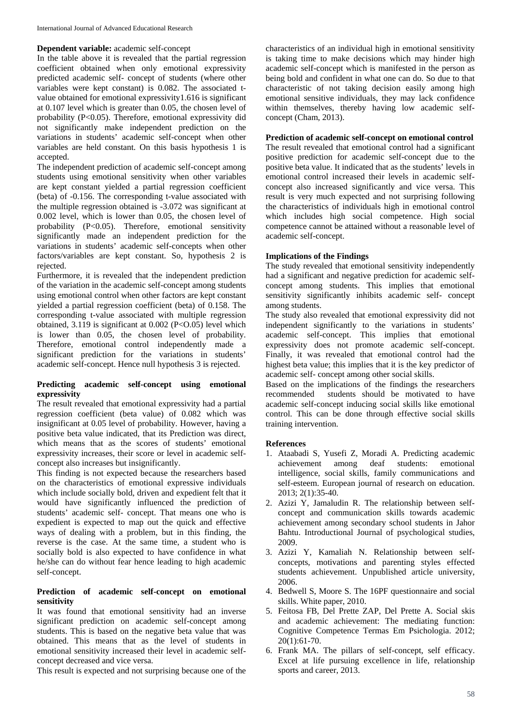#### **Dependent variable:** academic self-concept

In the table above it is revealed that the partial regression coefficient obtained when only emotional expressivity predicted academic self- concept of students (where other variables were kept constant) is 0.082. The associated tvalue obtained for emotional expressivity1.616 is significant at 0.107 level which is greater than 0.05, the chosen level of probability (P<0.05). Therefore, emotional expressivity did not significantly make independent prediction on the variations in students' academic self-concept when other variables are held constant. On this basis hypothesis 1 is accepted.

The independent prediction of academic self-concept among students using emotional sensitivity when other variables are kept constant yielded a partial regression coefficient (beta) of -0.156. The corresponding t-value associated with the multiple regression obtained is -3.072 was significant at 0.002 level, which is lower than 0.05, the chosen level of probability (P<0.05). Therefore, emotional sensitivity significantly made an independent prediction for the variations in students' academic self-concepts when other factors/variables are kept constant. So, hypothesis 2 is rejected.

Furthermore, it is revealed that the independent prediction of the variation in the academic self-concept among students using emotional control when other factors are kept constant yielded a partial regression coefficient (beta) of 0.158. The corresponding t-value associated with multiple regression obtained,  $3.119$  is significant at  $0.002$  (P< $0.05$ ) level which is lower than 0.05, the chosen level of probability. Therefore, emotional control independently made a significant prediction for the variations in students' academic self-concept. Hence null hypothesis 3 is rejected.

#### **Predicting academic self-concept using emotional expressivity**

The result revealed that emotional expressivity had a partial regression coefficient (beta value) of 0.082 which was insignificant at 0.05 level of probability. However, having a positive beta value indicated, that its Prediction was direct, which means that as the scores of students' emotional expressivity increases, their score or level in academic selfconcept also increases but insignificantly.

This finding is not expected because the researchers based on the characteristics of emotional expressive individuals which include socially bold, driven and expedient felt that it would have significantly influenced the prediction of students' academic self- concept. That means one who is expedient is expected to map out the quick and effective ways of dealing with a problem, but in this finding, the reverse is the case. At the same time, a student who is socially bold is also expected to have confidence in what he/she can do without fear hence leading to high academic self-concept.

#### **Prediction of academic self-concept on emotional sensitivity**

It was found that emotional sensitivity had an inverse significant prediction on academic self-concept among students. This is based on the negative beta value that was obtained. This means that as the level of students in emotional sensitivity increased their level in academic selfconcept decreased and vice versa.

This result is expected and not surprising because one of the

characteristics of an individual high in emotional sensitivity is taking time to make decisions which may hinder high academic self-concept which is manifested in the person as being bold and confident in what one can do. So due to that characteristic of not taking decision easily among high emotional sensitive individuals, they may lack confidence within themselves, thereby having low academic selfconcept (Cham, 2013).

## **Prediction of academic self-concept on emotional control**

The result revealed that emotional control had a significant positive prediction for academic self-concept due to the positive beta value. It indicated that as the students' levels in emotional control increased their levels in academic selfconcept also increased significantly and vice versa. This result is very much expected and not surprising following the characteristics of individuals high in emotional control which includes high social competence. High social competence cannot be attained without a reasonable level of academic self-concept.

## **Implications of the Findings**

The study revealed that emotional sensitivity independently had a significant and negative prediction for academic selfconcept among students. This implies that emotional sensitivity significantly inhibits academic self- concept among students.

The study also revealed that emotional expressivity did not independent significantly to the variations in students' academic self-concept. This implies that emotional expressivity does not promote academic self-concept. Finally, it was revealed that emotional control had the highest beta value; this implies that it is the key predictor of academic self- concept among other social skills.

Based on the implications of the findings the researchers recommended students should be motivated to have academic self-concept inducing social skills like emotional control. This can be done through effective social skills training intervention.

## **References**

- 1. Ataabadi S, Yusefi Z, Moradi A. Predicting academic achievement among deaf students: emotional intelligence, social skills, family communications and self-esteem. European journal of research on education. 2013; 2(1):35-40.
- 2. Azizi Y, Jamaludin R. The relationship between selfconcept and communication skills towards academic achievement among secondary school students in Jahor Bahtu. Introductional Journal of psychological studies, 2009.
- 3. Azizi Y, Kamaliah N. Relationship between selfconcepts, motivations and parenting styles effected students achievement. Unpublished article university, 2006.
- 4. Bedwell S, Moore S. The 16PF questionnaire and social skills. White paper, 2010.
- 5. Feitosa FB, Del Prette ZAP, Del Prette A. Social skis and academic achievement: The mediating function: Cognitive Competence Termas Em Psichologia. 2012; 20(1):61-70.
- 6. Frank MA. The pillars of self-concept, self efficacy. Excel at life pursuing excellence in life, relationship sports and career, 2013.